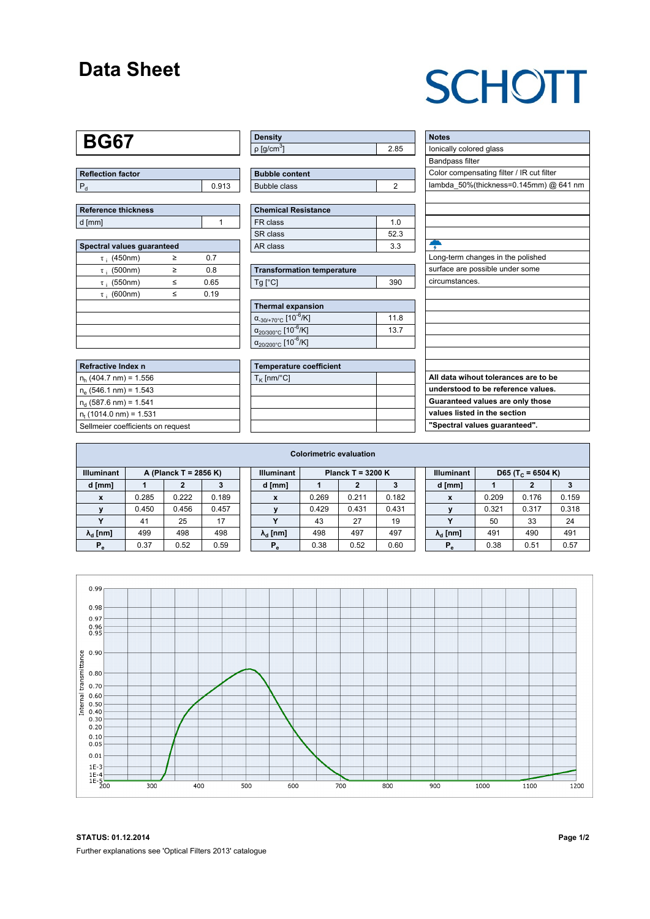### **Data Sheet**

## **SCHOTT**

#### **BG67**

| Reflection factor |       |  |  |  |  |  |
|-------------------|-------|--|--|--|--|--|
|                   | 0.913 |  |  |  |  |  |

| Reference thickness |  |
|---------------------|--|
| d [mm]              |  |

| Spectral values guaranteed |   |      |  |  |  |  |  |  |  |  |
|----------------------------|---|------|--|--|--|--|--|--|--|--|
| $\tau$ ; (450nm)           | ≥ | 0.7  |  |  |  |  |  |  |  |  |
| $\tau$ ; (500nm)           | ≥ | 0.8  |  |  |  |  |  |  |  |  |
| $\tau$ ; (550nm)           | < | 0.65 |  |  |  |  |  |  |  |  |
| $\tau$ ; (600nm)           | < | 0.19 |  |  |  |  |  |  |  |  |
|                            |   |      |  |  |  |  |  |  |  |  |
|                            |   |      |  |  |  |  |  |  |  |  |
|                            |   |      |  |  |  |  |  |  |  |  |
|                            |   |      |  |  |  |  |  |  |  |  |

| Refractive Index n                |
|-----------------------------------|
| $n_h$ (404.7 nm) = 1.556          |
| $n_e$ (546.1 nm) = 1.543          |
| $n_d$ (587.6 nm) = 1.541          |
| $n_{t}$ (1014.0 nm) = 1.531       |
| Sellmeier coefficients on request |

| Density                 |  |
|-------------------------|--|
| $ p $ [g/cm $^{\circ}]$ |  |

| <b>Bubble content</b> |  |
|-----------------------|--|
| Bubble class          |  |

| Chemical Resistance |                |  |  |  |  |  |  |
|---------------------|----------------|--|--|--|--|--|--|
| FR class            | 1 <sub>0</sub> |  |  |  |  |  |  |
| l SR class          | 52.3           |  |  |  |  |  |  |
| l AR class          | 3.3            |  |  |  |  |  |  |

| <b>Transformation temperature</b> |     |  |  |  |  |
|-----------------------------------|-----|--|--|--|--|
| $Ta$ $C1$                         | 390 |  |  |  |  |

| Thermal expansion                                 |      |  |  |  |  |  |  |
|---------------------------------------------------|------|--|--|--|--|--|--|
| $\alpha_{.30/+70\degree}$ c [10 <sup>-6</sup> /K] | 11.8 |  |  |  |  |  |  |
| $\alpha_{20/300^{\circ}C}$ [10 <sup>-6</sup> /K]  | 13.7 |  |  |  |  |  |  |
| $\alpha_{20/200^{\circ}C}$ [10 <sup>-6</sup> /K]  |      |  |  |  |  |  |  |

| <b>Temperature coefficient</b> |  |  |  |  |  |  |  |
|--------------------------------|--|--|--|--|--|--|--|
| $T_K$ [nm/°C]                  |  |  |  |  |  |  |  |
|                                |  |  |  |  |  |  |  |
|                                |  |  |  |  |  |  |  |
|                                |  |  |  |  |  |  |  |
|                                |  |  |  |  |  |  |  |

| <b>Notes</b><br>lonically colored glass<br>Bandpass filter<br>Color compensating filter / IR cut filter<br>lambda 50%(thickness=0.145mm) @ 641 nm<br>Long-term changes in the polished<br>surface are possible under some<br>circumstances. |
|---------------------------------------------------------------------------------------------------------------------------------------------------------------------------------------------------------------------------------------------|
|                                                                                                                                                                                                                                             |
|                                                                                                                                                                                                                                             |
|                                                                                                                                                                                                                                             |
|                                                                                                                                                                                                                                             |
|                                                                                                                                                                                                                                             |
|                                                                                                                                                                                                                                             |
|                                                                                                                                                                                                                                             |
|                                                                                                                                                                                                                                             |
|                                                                                                                                                                                                                                             |
|                                                                                                                                                                                                                                             |
|                                                                                                                                                                                                                                             |
|                                                                                                                                                                                                                                             |
|                                                                                                                                                                                                                                             |
|                                                                                                                                                                                                                                             |
|                                                                                                                                                                                                                                             |
|                                                                                                                                                                                                                                             |
|                                                                                                                                                                                                                                             |
|                                                                                                                                                                                                                                             |
|                                                                                                                                                                                                                                             |
|                                                                                                                                                                                                                                             |
| All data wihout tolerances are to be                                                                                                                                                                                                        |
| understood to be reference values.                                                                                                                                                                                                          |
| Guaranteed values are only those                                                                                                                                                                                                            |
| values listed in the section                                                                                                                                                                                                                |
| "Spectral values guaranteed".                                                                                                                                                                                                               |

| <b>Colorimetric evaluation</b> |                       |       |       |  |                        |                     |       |       |  |                        |                               |       |       |
|--------------------------------|-----------------------|-------|-------|--|------------------------|---------------------|-------|-------|--|------------------------|-------------------------------|-------|-------|
| <b>Illuminant</b>              | A (Planck T = 2856 K) |       |       |  | <b>Illuminant</b>      | Planck T = $3200 K$ |       |       |  | <b>Illuminant</b>      | D65 (T <sub>c</sub> = 6504 K) |       |       |
| d [mm]                         |                       |       | 3     |  | d [mm]                 |                     |       | 3     |  | d [mm]                 |                               |       |       |
| X                              | 0.285                 | 0.222 | 0.189 |  | X                      | 0.269               | 0.211 | 0.182 |  | $\boldsymbol{x}$       | 0.209                         | 0.176 | 0.159 |
|                                | 0.450                 | 0.456 | 0.457 |  |                        | 0.429               | 0.431 | 0.431 |  |                        | 0.321                         | 0.317 | 0.318 |
|                                | 41                    | 25    | 17    |  | v                      | 43                  | 27    | 19    |  |                        | 50                            | 33    | 24    |
| $\lambda_{\rm d}$ [nm]         | 499                   | 498   | 498   |  | $\lambda_{\rm d}$ [nm] | 498                 | 497   | 497   |  | $\lambda_{\rm d}$ [nm] | 491                           | 490   | 491   |
| $P_e$                          | 0.37                  | 0.52  | 0.59  |  | $P_{\alpha}$           | 0.38                | 0.52  | 0.60  |  | $P_e$                  | 0.38                          | 0.51  | 0.57  |
|                                |                       |       |       |  |                        |                     |       |       |  |                        |                               |       |       |



**STATUS: 01.12.2014 Page 1/2** Further explanations see 'Optical Filters 2013' catalogue